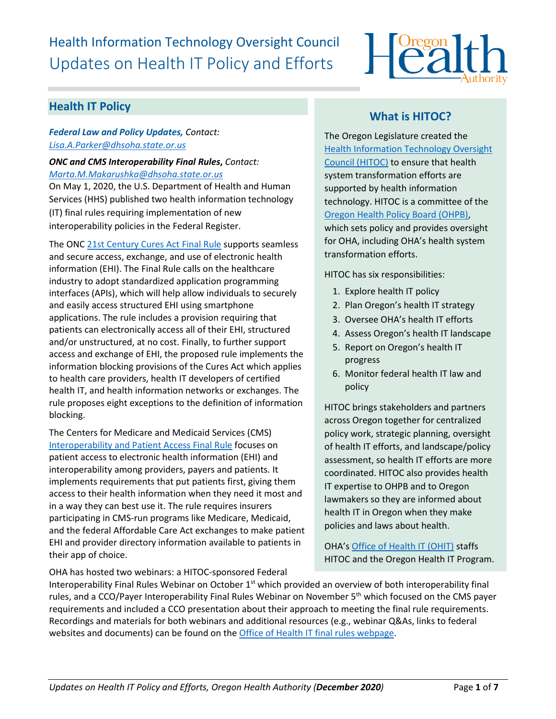# Health Information Technology Oversight Council Updates on Health IT Policy and Efforts



## **Health IT Policy**

## *Federal Law and Policy Updates, Contact: [Lisa.A.Parker@dhsoha.state.or.us](mailto:Lisa.A.Parker@dhsoha.state.or.us)*

*ONC and CMS Interoperability Final Rules***,** *Contact: [Marta.M.Makarushka@dhsoha.state.or.us](mailto:Marta.M.Makarushka@dhsoha.state.or.us)* On May 1, 2020, the U.S. Department of Health and Human Services (HHS) published two health information technology (IT) final rules requiring implementation of new

interoperability policies in the Federal Register.

The ONC [21st Century Cures Act Final Rule](https://www.healthit.gov/curesrule/) supports seamless and secure access, exchange, and use of electronic health information (EHI). The Final Rule calls on the healthcare industry to adopt standardized application programming interfaces (APIs), which will help allow individuals to securely and easily access structured EHI using smartphone applications. The rule includes a provision requiring that patients can electronically access all of their EHI, structured and/or unstructured, at no cost. Finally, to further support access and exchange of EHI, the proposed rule implements the information blocking provisions of the Cures Act which applies to health care providers, health IT developers of certified health IT, and health information networks or exchanges. The rule proposes eight exceptions to the definition of information blocking.

The Centers for Medicare and Medicaid Services (CMS) [Interoperability and Patient Access Final Rule](https://www.govinfo.gov/content/pkg/FR-2020-05-01/pdf/2020-05050.pdf) focuses on patient access to electronic health information (EHI) and interoperability among providers, payers and patients. It implements requirements that put patients first, giving them access to their health information when they need it most and in a way they can best use it. The rule requires insurers participating in CMS-run programs like Medicare, Medicaid, and the federal Affordable Care Act exchanges to make patient EHI and provider directory information available to patients in their app of choice.

OHA has hosted two webinars: a HITOC-sponsored Federal

# **What is HITOC?**

The Oregon Legislature created the [Health Information Technology Oversight](http://www.oregon.gov/oha/ohpr/hitoc/Pages/index.aspx)  [Council \(HITOC\)](http://www.oregon.gov/oha/ohpr/hitoc/Pages/index.aspx) to ensure that health system transformation efforts are supported by health information technology. HITOC is a committee of the [Oregon Health Policy Board \(OHPB\),](https://www.oregon.gov/OHA/OHPB/Pages/index.aspx) which sets policy and provides oversight for OHA, including OHA's health system transformation efforts.

HITOC has six responsibilities:

- 1. Explore health IT policy
- 2. Plan Oregon's health IT strategy
- 3. Oversee OHA's health IT efforts
- 4. Assess Oregon's health IT landscape
- 5. Report on Oregon's health IT progress
- 6. Monitor federal health IT law and policy

HITOC brings stakeholders and partners across Oregon together for centralized policy work, strategic planning, oversight of health IT efforts, and landscape/policy assessment, so health IT efforts are more coordinated. HITOC also provides health IT expertise to OHPB and to Oregon lawmakers so they are informed about health IT in Oregon when they make policies and laws about health.

OHA'[s Office of Health IT](https://www.oregon.gov/oha/HPA/OHIT/Pages/About.aspx) (OHIT) staffs HITOC and the Oregon Health IT Program.

Interoperability Final Rules Webinar on October 1<sup>st</sup> which provided an overview of both interoperability final rules, and a CCO/Payer Interoperability Final Rules Webinar on November 5<sup>th</sup> which focused on the CMS payer requirements and included a CCO presentation about their approach to meeting the final rule requirements. Recordings and materials for both webinars and additional resources (e.g., webinar Q&As, links to federal websites and documents) can be found on th[e Office of Health IT final rules webpage.](https://www.oregon.gov/oha/HPA/OHIT-HITOC/Pages/Federal-Rules.aspx)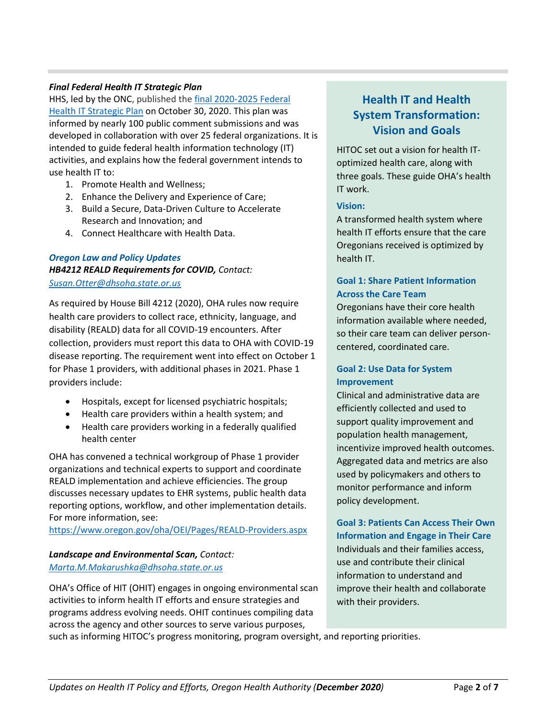### *Final [Federal Health IT Strategic Plan](https://www.healthit.gov/topic/2020-2025-federal-health-it-strategic-plan)*

HHS, led by the ONC, published the final [2020-2025 Federal](https://www.healthit.gov/topic/2020-2025-federal-health-it-strategic-plan)  [Health IT Strategic Plan](https://www.healthit.gov/topic/2020-2025-federal-health-it-strategic-plan) on October 30, 2020. This plan was informed by nearly 100 public comment submissions and was developed in collaboration with over 25 federal organizations. It is intended to guide federal health information technology (IT) activities, and explains how the federal government intends to use health IT to:

- 1. Promote Health and Wellness;
- 2. Enhance the Delivery and Experience of Care;
- 3. Build a Secure, Data-Driven Culture to Accelerate Research and Innovation; and
- 4. Connect Healthcare with Health Data.

## *Oregon Law and Policy Updates HB4212 REALD Requirements for COVID, Contact: [Susan.Otter@dhsoha.state.or.us](mailto:Francie.J.Nevill@dhsoha.state.or.us)*

As required by House Bill 4212 (2020), OHA rules now require health care providers to collect race, ethnicity, language, and disability (REALD) data for all COVID-19 encounters. After collection, providers must report this data to OHA with COVID-19 disease reporting. The requirement went into effect on October 1 for Phase 1 providers, with additional phases in 2021. Phase 1 providers include:

- Hospitals, except for licensed psychiatric hospitals;
- Health care providers within a health system; and
- Health care providers working in a federally qualified health center

OHA has convened a technical workgroup of Phase 1 provider organizations and technical experts to support and coordinate REALD implementation and achieve efficiencies. The group discusses necessary updates to EHR systems, public health data reporting options, workflow, and other implementation details. For more information, see:

<https://www.oregon.gov/oha/OEI/Pages/REALD-Providers.aspx>

# *Landscape and Environmental Scan, Contact:*

*[Marta.M.Makarushka@dhsoha.state.or.us](mailto:Marta.M.Makarushka@dhsoha.state.or.us)*

OHA's Office of HIT (OHIT) engages in ongoing environmental scan activities to inform health IT efforts and ensure strategies and programs address evolving needs. OHIT continues compiling data across the agency and other sources to serve various purposes,

# **Health IT and Health System Transformation: Vision and Goals**

HITOC set out a vision for health IToptimized health care, along with three goals. These guide OHA's health IT work.

#### **Vision:**

A transformed health system where health IT efforts ensure that the care Oregonians received is optimized by health IT.

## **Goal 1: Share Patient Information Across the Care Team**

Oregonians have their core health information available where needed, so their care team can deliver personcentered, coordinated care.

### **Goal 2: Use Data for System Improvement**

Clinical and administrative data are efficiently collected and used to support quality improvement and population health management, incentivize improved health outcomes. Aggregated data and metrics are also used by policymakers and others to monitor performance and inform policy development.

**Goal 3: Patients Can Access Their Own Information and Engage in Their Care**  Individuals and their families access, use and contribute their clinical information to understand and improve their health and collaborate with their providers.

such as informing HITOC's progress monitoring, program oversight, and reporting priorities.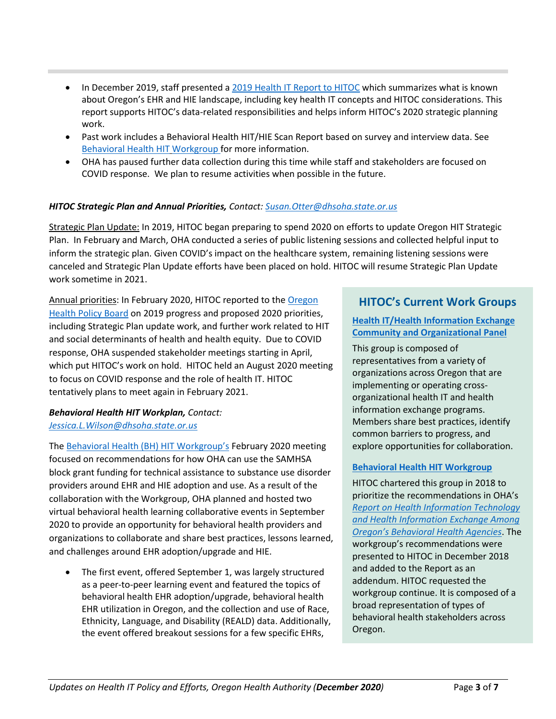- In December 2019, staff presented [a 2019 Health IT Report to HITOC](https://www.oregon.gov/oha/HPA/OHIT-HITOC/HITOC%20Meeting%20Docs/2019_HIT_Report_for_HITOC_Review.pdf) which summarizes what is known about Oregon's EHR and HIE landscape, including key health IT concepts and HITOC considerations. This report supports HITOC's data-related responsibilities and helps inform HITOC's 2020 strategic planning work.
- Past work includes a Behavioral Health HIT/HIE Scan Report based on survey and interview data. See [Behavioral Health HIT](https://www.oregon.gov/oha/HPA/OHIT-HITOC/Pages/Behavioral-Health-HIT.aspx) [Workgroup f](https://www.oregon.gov/oha/HPA/OHIT-HITOC/Pages/Behavioral-Health-HIT.aspx)or more information.
- OHA has paused further data collection during this time while staff and stakeholders are focused on COVID response. We plan to resume activities when possible in the future.

## *HITOC Strategic Plan and Annual Priorities, Contact: [Susan.Otter@dhsoha.state.or.us](mailto:Francie.J.Nevill@dhsoha.state.or.us)*

Strategic Plan Update: In 2019, HITOC began preparing to spend 2020 on efforts to update Oregon HIT Strategic Plan. In February and March, OHA conducted a series of public listening sessions and collected helpful input to inform the strategic plan. Given COVID's impact on the healthcare system, remaining listening sessions were canceled and Strategic Plan Update efforts have been placed on hold. HITOC will resume Strategic Plan Update work sometime in 2021.

Annual priorities: In February 2020, HITOC reported to the [Oregon](https://www.oregon.gov/OHA/OHPB/Pages/OHPB-Meetings.aspx)  [Health Policy Board](https://www.oregon.gov/OHA/OHPB/Pages/OHPB-Meetings.aspx) on 2019 progress and proposed 2020 priorities, including Strategic Plan update work, and further work related to HIT and social determinants of health and health equity. Due to COVID response, OHA suspended stakeholder meetings starting in April, which put HITOC's work on hold. HITOC held an August 2020 meeting to focus on COVID response and the role of health IT. HITOC tentatively plans to meet again in February 2021.

### *Behavioral Health HIT Workplan, Contact: [Jessica.L.Wilson@dhsoha.state.or.us](mailto:Jessica.L.Wilson@dhsoha.state.or.us)*

The [Behavioral Health \(BH\) HIT](https://www.oregon.gov/oha/HPA/OHIT-HITOC/Pages/Behavioral-Health-HIT.aspx) Workgroup's February 2020 meeting focused on recommendations for how OHA can use the SAMHSA block grant funding for technical assistance to substance use disorder providers around EHR and HIE adoption and use. As a result of the collaboration with the Workgroup, OHA planned and hosted two virtual behavioral health learning collaborative events in September 2020 to provide an opportunity for behavioral health providers and organizations to collaborate and share best practices, lessons learned, and challenges around EHR adoption/upgrade and HIE.

• The first event, offered September 1, was largely structured as a peer-to-peer learning event and featured the topics of behavioral health EHR adoption/upgrade, behavioral health EHR utilization in Oregon, and the collection and use of Race, Ethnicity, Language, and Disability (REALD) data. Additionally, the event offered breakout sessions for a few specific EHRs,

## **HITOC's Current Work Groups**

## **[Health IT/Health Information Exchange](https://www.oregon.gov/oha/HPA/OHIT-HITOC/Pages/HCOP.aspx)  [Community and Organizational Panel](https://www.oregon.gov/oha/HPA/OHIT-HITOC/Pages/HCOP.aspx)**

This group is composed of representatives from a variety of organizations across Oregon that are implementing or operating crossorganizational health IT and health information exchange programs. Members share best practices, identify common barriers to progress, and explore opportunities for collaboration.

### **[Behavioral Health HIT Workgroup](https://www.oregon.gov/oha/HPA/OHIT-HITOC/Pages/Behavioral-Health-HIT.aspx)**

HITOC chartered this group in 2018 to prioritize the recommendations in OHA's *[Report on Health Information Technology](https://www.oregon.gov/oha/HPA/OHIT/Resources/BH%20HIT%20Draft%20Report%2012-1-2017%20for%20HITOC%20Review.pdf)  [and Health Information Exchange Among](https://www.oregon.gov/oha/HPA/OHIT/Resources/BH%20HIT%20Draft%20Report%2012-1-2017%20for%20HITOC%20Review.pdf)  [Oregon's Behavioral Health Agencies](https://www.oregon.gov/oha/HPA/OHIT/Resources/BH%20HIT%20Draft%20Report%2012-1-2017%20for%20HITOC%20Review.pdf)*. The workgroup's recommendations were presented to HITOC in December 2018 and added to the Report as an addendum. HITOC requested the workgroup continue. It is composed of a broad representation of types of behavioral health stakeholders across Oregon.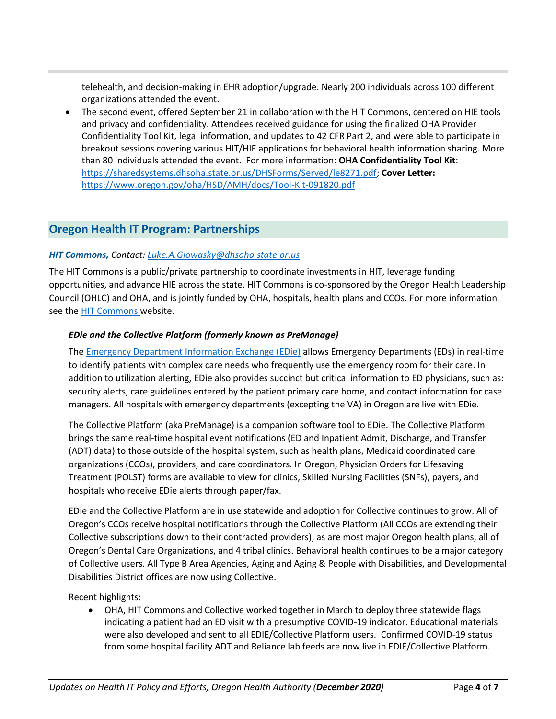telehealth, and decision-making in EHR adoption/upgrade. Nearly 200 individuals across 100 different organizations attended the event.

• The second event, offered September 21 in collaboration with the HIT Commons, centered on HIE tools and privacy and confidentiality. Attendees received guidance for using the finalized [OHA Provider](https://sharedsystems.dhsoha.state.or.us/DHSForms/Served/le8271.pdf)  [Confidentiality Tool Kit,](https://sharedsystems.dhsoha.state.or.us/DHSForms/Served/le8271.pdf) legal information, and updates to 42 CFR Part 2, and were able to participate in breakout sessions covering various HIT/HIE applications for behavioral health information sharing. More than 80 individuals attended the event. For more information: **OHA Confidentiality Tool Kit**: [https://sharedsystems.dhsoha.state.or.us/DHSForms/Served/le8271.pdf;](https://sharedsystems.dhsoha.state.or.us/DHSForms/Served/le8271.pdf) **Cover Letter:**  <https://www.oregon.gov/oha/HSD/AMH/docs/Tool-Kit-091820.pdf>

## **Oregon Health IT Program: Partnerships**

#### *HIT Commons, Contact: [Luke.A.Glowasky@dhsoha.state.or.us](mailto:Luke.A.Glowasky@dhsoha.state.or.us)*

The HIT Commons is a public/private partnership to coordinate investments in HIT, leverage funding opportunities, and advance HIE across the state. HIT Commons is co-sponsored by the Oregon Health Leadership Council (OHLC) and OHA, and is jointly funded by OHA, hospitals, health plans and CCOs. For more information see the [HIT Commons w](http://www.orhealthleadershipcouncil.org/hit-commons/)ebsite.

#### *EDie and the Collective Platform (formerly known as PreManage)*

Th[e Emergency Department Information Exchange \(EDie\)](http://www.orhealthleadershipcouncil.org/edie/) allows Emergency Departments (EDs) in real-time to identify patients with complex care needs who frequently use the emergency room for their care. In addition to utilization alerting, EDie also provides succinct but critical information to ED physicians, such as: security alerts, care guidelines entered by the patient primary care home, and contact information for case managers. All hospitals with emergency departments (excepting the VA) in Oregon are live with EDie.

The Collective Platform (aka PreManage) is a companion software tool to EDie. The Collective Platform brings the same real-time hospital event notifications (ED and Inpatient Admit, Discharge, and Transfer (ADT) data) to those outside of the hospital system, such as health plans, Medicaid coordinated care organizations (CCOs), providers, and care coordinators. In Oregon, Physician Orders for Lifesaving Treatment (POLST) forms are available to view for clinics, Skilled Nursing Facilities (SNFs), payers, and hospitals who receive EDie alerts through paper/fax.

EDie and the Collective Platform are in use statewide and adoption for Collective continues to grow. All of Oregon's CCOs receive hospital notifications through the Collective Platform (All CCOs are extending their Collective subscriptions down to their contracted providers), as are most major Oregon health plans, all of Oregon's Dental Care Organizations, and 4 tribal clinics. Behavioral health continues to be a major category of Collective users. All Type B Area Agencies, Aging and Aging & People with Disabilities, and Developmental Disabilities District offices are now using Collective.

Recent highlights:

• OHA, HIT Commons and Collective worked together in March to deploy three statewide flags indicating a patient had an ED visit with a presumptive COVID-19 indicator. Educational materials were also developed and sent to all EDIE/Collective Platform users. Confirmed COVID-19 status from some hospital facility ADT and Reliance lab feeds are now live in EDIE/Collective Platform.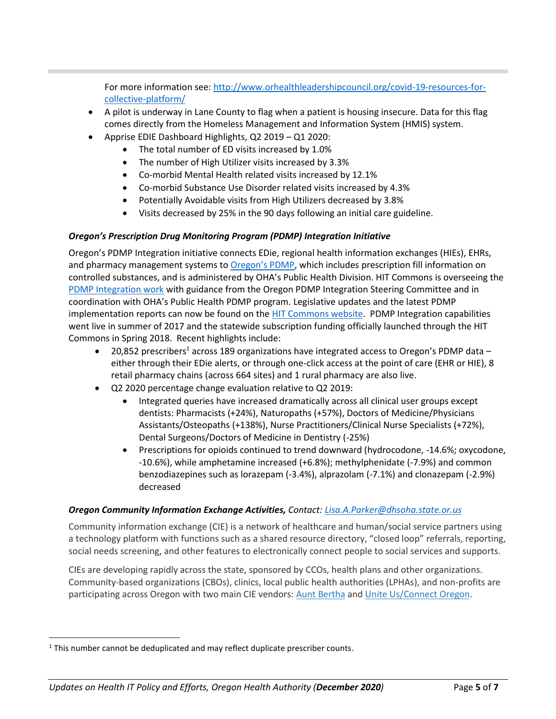For more information see: [http://www.orhealthleadershipcouncil.org/covid-19-resources-for](http://www.orhealthleadershipcouncil.org/covid-19-resources-for-collective-platform/)[collective-platform/](http://www.orhealthleadershipcouncil.org/covid-19-resources-for-collective-platform/)

- A pilot is underway in Lane County to flag when a patient is housing insecure. Data for this flag comes directly from the Homeless Management and Information System (HMIS) system.
- Apprise EDIE Dashboard Highlights, Q2 2019 Q1 2020:
	- The total number of ED visits increased by 1.0%
	- The number of High Utilizer visits increased by 3.3%
	- Co-morbid Mental Health related visits increased by 12.1%
	- Co-morbid Substance Use Disorder related visits increased by 4.3%
	- Potentially Avoidable visits from High Utilizers decreased by 3.8%
	- Visits decreased by 25% in the 90 days following an initial care guideline.

### *Oregon's Prescription Drug Monitoring Program (PDMP) Integration Initiative*

Oregon's PDMP Integration initiative connects EDie, regional health information exchanges (HIEs), EHRs, and pharmacy management systems to [Oregon's PDMP](http://www.orpdmp.com/), which includes prescription fill information on controlled substances, and is administered by OHA's Public Health Division. HIT Commons is overseeing the [PDMP Integration work](http://www.orhealthleadershipcouncil.org/pdmp-integration/) with guidance from the Oregon PDMP Integration Steering Committee and in coordination with OHA's Public Health PDMP program. Legislative updates and the latest PDMP implementation reports can now be found on the **HIT Commons website. PDMP Integration capabilities** went live in summer of 2017 and the statewide subscription funding officially launched through the HIT Commons in Spring 2018. Recent highlights include:

- 20,852 prescribers<sup>1</sup> across 189 organizations have integrated access to Oregon's PDMP data either through their EDie alerts, or through one-click access at the point of care (EHR or HIE), 8 retail pharmacy chains (across 664 sites) and 1 rural pharmacy are also live.
- Q2 2020 percentage change evaluation relative to Q2 2019:
	- Integrated queries have increased dramatically across all clinical user groups except dentists: Pharmacists (+24%), Naturopaths (+57%), Doctors of Medicine/Physicians Assistants/Osteopaths (+138%), Nurse Practitioners/Clinical Nurse Specialists (+72%), Dental Surgeons/Doctors of Medicine in Dentistry (-25%)
	- Prescriptions for opioids continued to trend downward (hydrocodone, -14.6%; oxycodone, -10.6%), while amphetamine increased (+6.8%); methylphenidate (-7.9%) and common benzodiazepines such as lorazepam (-3.4%), alprazolam (-7.1%) and clonazepam (-2.9%) decreased

### *Oregon Community Information Exchange Activities, Contact: [Lisa.A.Parker@dhsoha.state.or.us](mailto:Lisa.A.Parker@dhsoha.state.or.us)*

Community information exchange (CIE) is a network of healthcare and human/social service partners using a technology platform with functions such as a shared resource directory, "closed loop" referrals, reporting, social needs screening, and other features to electronically connect people to social services and supports.

CIEs are developing rapidly across the state, sponsored by CCOs, health plans and other organizations. Community-based organizations (CBOs), clinics, local public health authorities (LPHAs), and non-profits are participating across Oregon with two main CIE vendors: [Aunt Bertha](https://company.auntbertha.com/) and [Unite Us/Connect Oregon.](https://oregon.uniteus.com/)

<sup>&</sup>lt;sup>1</sup> This number cannot be deduplicated and may reflect duplicate prescriber counts.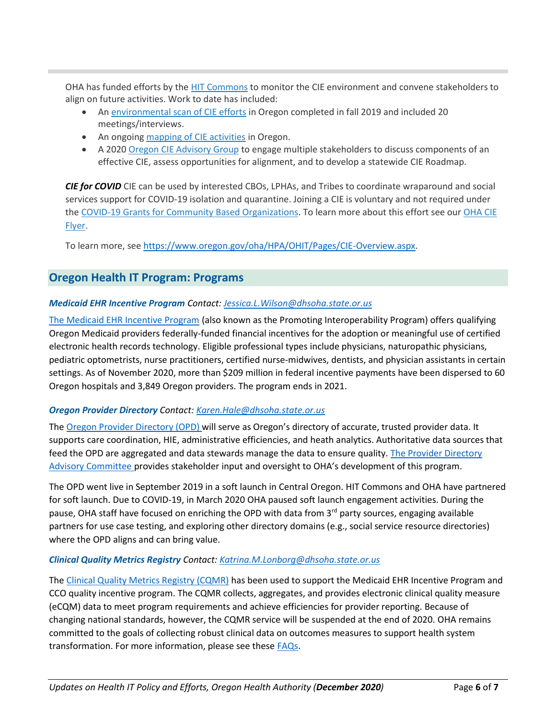OHA has funded efforts by the [HIT Commons](http://www.orhealthleadershipcouncil.org/hit-commons/) to monitor the CIE environment and convene stakeholders to align on future activities. Work to date has included:

- An [environmental scan of CIE efforts](http://www.orhealthleadershipcouncil.org/wp-content/uploads/2019/09/Oregon-CIE-Environmental-Scan-August-31-2019.pdf) in Oregon completed in fall 2019 and included 20 meetings/interviews.
- An ongoing [mapping of CIE activities](https://pdxedu.maps.arcgis.com/apps/MapSeries/index.html?appid=a9b4fbd305094c769387127521b6250e) in Oregon.
- A 2020 [Oregon CIE Advisory Group](http://www.orhealthleadershipcouncil.org/oregon-cie-advisory-group/) to engage multiple stakeholders to discuss components of an effective CIE, assess opportunities for alignment, and to develop a statewide CIE Roadmap.

*CIE for COVID* CIE can be used by interested CBOs, LPHAs, and Tribes to coordinate wraparound and social services support for COVID-19 isolation and quarantine. Joining a CIE is voluntary and not required under the [COVID-19 Grants for Community Based Organizations.](https://www-auth.oregon.gov/oha/PH/ABOUT/Pages/Community-Engagement.aspx) To learn more about this effort see our [OHA CIE](https://www-auth.oregon.gov/oha/HPA/OHIT/Documents/OHA_CIE_Flyer.pdf)  [Flyer.](https://www-auth.oregon.gov/oha/HPA/OHIT/Documents/OHA_CIE_Flyer.pdf)

To learn more, see [https://www.oregon.gov/oha/HPA/OHIT/Pages/CIE-Overview.aspx.](https://www.oregon.gov/oha/HPA/OHIT/Pages/CIE-Overview.aspx)

## **Oregon Health IT Program: Programs**

## *Medicaid EHR Incentive Program Contact: [Jessica.L.Wilson@dhsoha.state.or.us](mailto:Jessica.L.Wilson@dhsoha.state.or.us)*

[The Medicaid EHR Incentive Program](https://www.oregon.gov/oha/MHIT/pages/index.aspx) (also known as the Promoting Interoperability Program) offers qualifying Oregon Medicaid providers federally-funded financial incentives for the adoption or meaningful use of certified electronic health records technology. Eligible professional types include physicians, naturopathic physicians, pediatric optometrists, nurse practitioners, certified nurse-midwives, dentists, and physician assistants in certain settings. As of November 2020, more than \$209 million in federal incentive payments have been dispersed to 60 Oregon hospitals and 3,849 Oregon providers. The program ends in 2021.

### *Oregon Provider Directory Contact: [Karen.Hale@dhsoha.state.or.us](mailto:Karen.Hale@dhsoha.state.or.us)*

The [Oregon Provider Directory \(](https://www.oregon.gov/oha/HPA/OHIT/Pages/PD-Overview.aspx)OPD) will serve as Oregon's directory of accurate, trusted provider data. It supports care coordination, HIE, administrative efficiencies, and heath analytics. Authoritative data sources that feed the OPD are aggregated and data stewards manage the data to ensure quality. [The Provider Directory](https://www.oregon.gov/oha/HPA/OHIT/Pages/PDAC.aspx)  [Advisory Committee](https://www.oregon.gov/oha/HPA/OHIT/Pages/PDAC.aspx) provides stakeholder input and oversight to OHA's development of this program.

The OPD went live in September 2019 in a soft launch in Central Oregon. HIT Commons and OHA have partnered for soft launch. Due to COVID-19, in March 2020 OHA paused soft launch engagement activities. During the pause, OHA staff have focused on enriching the OPD with data from  $3<sup>rd</sup>$  party sources, engaging available partners for use case testing, and exploring other directory domains (e.g., social service resource directories) where the OPD aligns and can bring value.

### *Clinical Quality Metrics Registry Contact: [Katrina.M.Lonborg@dhsoha.state.or.us](mailto:Katrina.M.Lonborg@dhsoha.state.or.us)*

The [Clinical Quality Metrics Registry \(CQMR\)](https://www.oregon.gov/oha/HPA/OHIT/Pages/CQMR.aspx) has been used to support the Medicaid EHR Incentive Program and CCO quality incentive program. The CQMR collects, aggregates, and provides electronic clinical quality measure (eCQM) data to meet program requirements and achieve efficiencies for provider reporting. Because of changing national standards, however, the CQMR service will be suspended at the end of 2020. OHA remains committed to the goals of collecting robust clinical data on outcomes measures to support health system transformation. For more information, please see these [FAQs.](https://www.oregon.gov/oha/HPA/OHIT/Documents/CQMR_Suspension_FAQs.pdf)